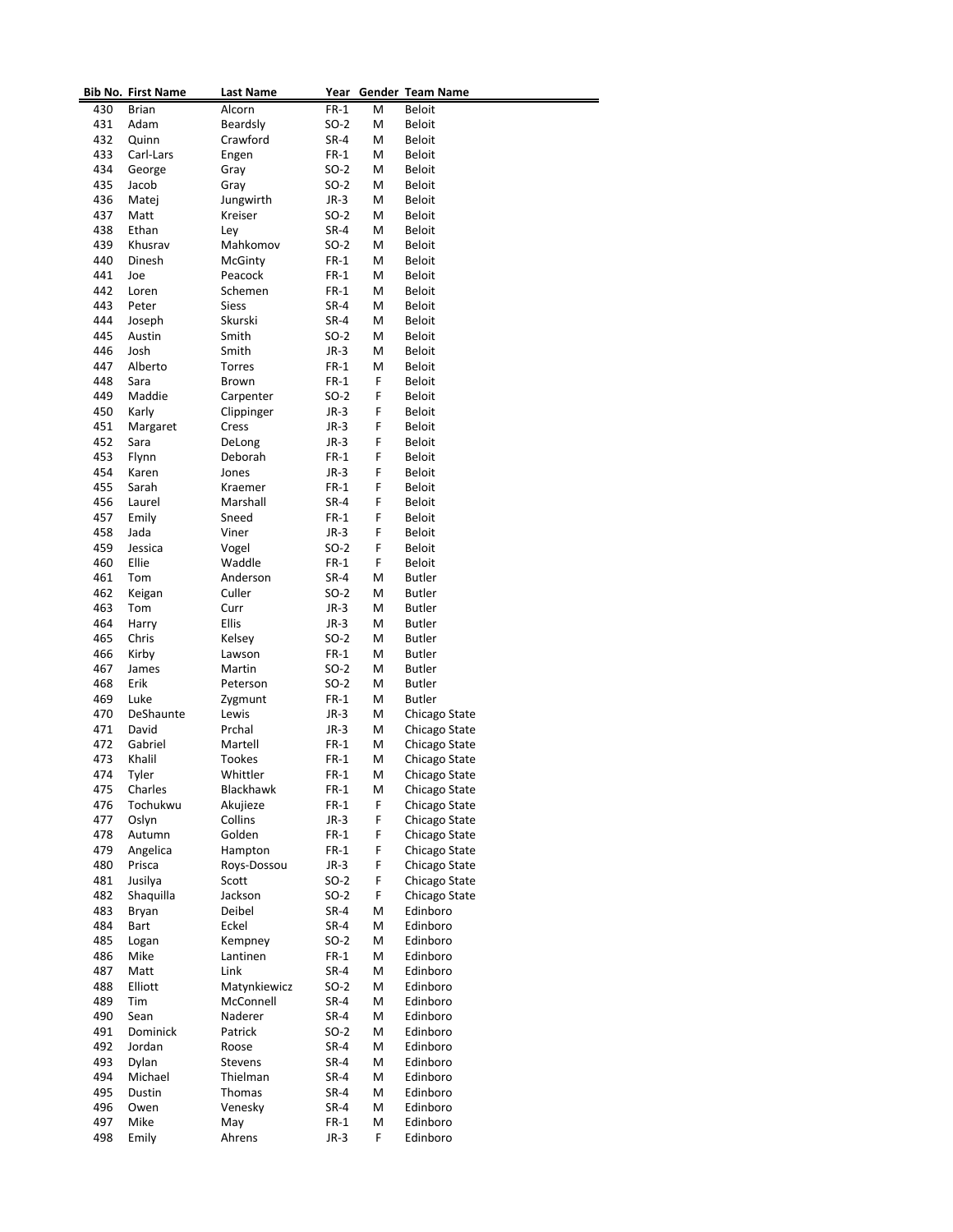|     | <b>Bib No. First Name</b> | <b>Last Name</b> | Year   |    | Gender Team Name |
|-----|---------------------------|------------------|--------|----|------------------|
| 430 | Brian                     | Alcorn           | FR-1   | М  | <b>Beloit</b>    |
| 431 | Adam                      | Beardsly         | $SO-2$ | M  | <b>Beloit</b>    |
| 432 | Quinn                     | Crawford         | SR-4   | M  | <b>Beloit</b>    |
| 433 | Carl-Lars                 | Engen            | FR-1   | M  | Beloit           |
| 434 | George                    | Gray             | SO-2   | M  | <b>Beloit</b>    |
| 435 | Jacob                     | Gray             | SO-2   | M  | Beloit           |
| 436 | Matei                     |                  | $JR-3$ | M  | <b>Beloit</b>    |
|     |                           | Jungwirth        |        |    |                  |
| 437 | Matt                      | Kreiser          | SO-2   | M  | Beloit           |
| 438 | Ethan                     | Ley              | SR-4   | M  | <b>Beloit</b>    |
| 439 | Khusrav                   | Mahkomov         | SO-2   | M  | <b>Beloit</b>    |
| 440 | Dinesh                    | McGinty          | $FR-1$ | M  | <b>Beloit</b>    |
| 441 | Joe                       | Peacock          | $FR-1$ | M  | Beloit           |
| 442 | Loren                     | Schemen          | $FR-1$ | Μ  | <b>Beloit</b>    |
| 443 | Peter                     | <b>Siess</b>     | SR-4   | Μ  | Beloit           |
| 444 | Joseph                    | Skurski          | SR-4   | М  | <b>Beloit</b>    |
| 445 | Austin                    | Smith            | SO-2   | Μ  | Beloit           |
| 446 | Josh                      | Smith            | $JR-3$ | Μ  | Beloit           |
| 447 | Alberto                   | Torres           | FR-1   | M  | <b>Beloit</b>    |
| 448 | Sara                      | Brown            | $FR-1$ | F  | Beloit           |
| 449 | Maddie                    | Carpenter        | SO-2   | F  | <b>Beloit</b>    |
| 450 | Karly                     | Clippinger       | JR-3   | F  | Beloit           |
| 451 | Margaret                  |                  |        | F  |                  |
|     |                           | Cress            | $JR-3$ |    | Beloit           |
| 452 | Sara                      | DeLong           | JR-3   | F  | <b>Beloit</b>    |
| 453 | Flynn                     | Deborah          | FR-1   | F  | Beloit           |
| 454 | Karen                     | Jones            | JR-3   | F  | <b>Beloit</b>    |
| 455 | Sarah                     | Kraemer          | $FR-1$ | F  | <b>Beloit</b>    |
| 456 | Laurel                    | Marshall         | SR-4   | F  | <b>Beloit</b>    |
| 457 | Emily                     | Sneed            | $FR-1$ | F  | <b>Beloit</b>    |
| 458 | Jada                      | Viner            | JR-3   | F  | <b>Beloit</b>    |
| 459 | Jessica                   | Vogel            | SO-2   | F  | <b>Beloit</b>    |
| 460 | Ellie                     | Waddle           | $FR-1$ | F  | <b>Beloit</b>    |
| 461 | Tom                       | Anderson         | SR-4   | Μ  | <b>Butler</b>    |
| 462 | Keigan                    | Culler           | SO-2   | Μ  | Butler           |
| 463 | Tom                       | Curr             | JR-3   | Μ  | <b>Butler</b>    |
|     |                           | Ellis            |        | Μ  | <b>Butler</b>    |
| 464 | Harry                     |                  | $JR-3$ |    |                  |
| 465 | Chris                     | Kelsey           | SO-2   | Μ  | <b>Butler</b>    |
| 466 | Kirby                     | Lawson           | $FR-1$ | Μ  | Butler           |
| 467 | James                     | Martin           | SO-2   | Μ  | <b>Butler</b>    |
| 468 | Erik                      | Peterson         | SO-2   | Μ  | <b>Butler</b>    |
| 469 | Luke                      | Zygmunt          | $FR-1$ | Μ  | <b>Butler</b>    |
| 470 | DeShaunte                 | Lewis            | JR-3   | Μ  | Chicago State    |
| 471 | David                     | Prchal           | JR-3   | Μ  | Chicago State    |
| 472 | Gabriel                   | Martell          | $FR-1$ | Μ  | Chicago State    |
| 473 | Khalil                    | <b>Tookes</b>    | $FR-1$ | Μ  | Chicago State    |
| 474 | Tyler                     | Whittler         | $FR-1$ | Μ  | Chicago State    |
| 475 | Charles                   | Blackhawk        | FR-1   | Μ  | Chicago State    |
| 476 | Tochukwu                  | Akujieze         | $FR-1$ | F  | Chicago State    |
| 477 | Oslyn                     | Collins          | JR-3   | F  | Chicago State    |
| 478 | Autumn                    | Golden           | $FR-1$ | F  | Chicago State    |
| 479 | Angelica                  | Hampton          | $FR-1$ | F  | Chicago State    |
|     |                           |                  |        |    |                  |
| 480 | Prisca                    | Roys-Dossou      | $JR-3$ | F  | Chicago State    |
| 481 | Jusilya                   | Scott            | SO-2   | F  | Chicago State    |
| 482 | Shaquilla                 | Jackson          | SO-2   | F  | Chicago State    |
| 483 | Bryan                     | Deibel           | SR-4   | Μ  | Edinboro         |
| 484 | Bart                      | Eckel            | SR-4   | Μ  | Edinboro         |
| 485 | Logan                     | Kempney          | SO-2   | Μ  | Edinboro         |
| 486 | Mike                      | Lantinen         | $FR-1$ | Μ  | Edinboro         |
| 487 | Matt                      | Link             | SR-4   | Μ  | Edinboro         |
| 488 | Elliott                   | Matynkiewicz     | SO-2   | Μ  | Edinboro         |
| 489 | Tim                       | McConnell        | SR-4   | Μ  | Edinboro         |
| 490 | Sean                      | Naderer          | SR-4   | Μ  | Edinboro         |
| 491 | Dominick                  | Patrick          | SO-2   | Μ  | Edinboro         |
| 492 | Jordan                    | Roose            | SR-4   | Μ  | Edinboro         |
| 493 | Dylan                     | Stevens          | SR-4   | Μ  | Edinboro         |
|     |                           |                  |        |    |                  |
| 494 | Michael                   | Thielman         | SR-4   | Μ  | Edinboro         |
| 495 | Dustin                    | Thomas           | SR-4   | Μ  | Edinboro         |
| 496 | Owen                      | Venesky          | SR-4   | Μ  | Edinboro         |
| 497 | Mike                      | May              | $FR-1$ | Μ  | Edinboro         |
| 498 | Emily                     | Ahrens           | JR-3   | F. | Edinboro         |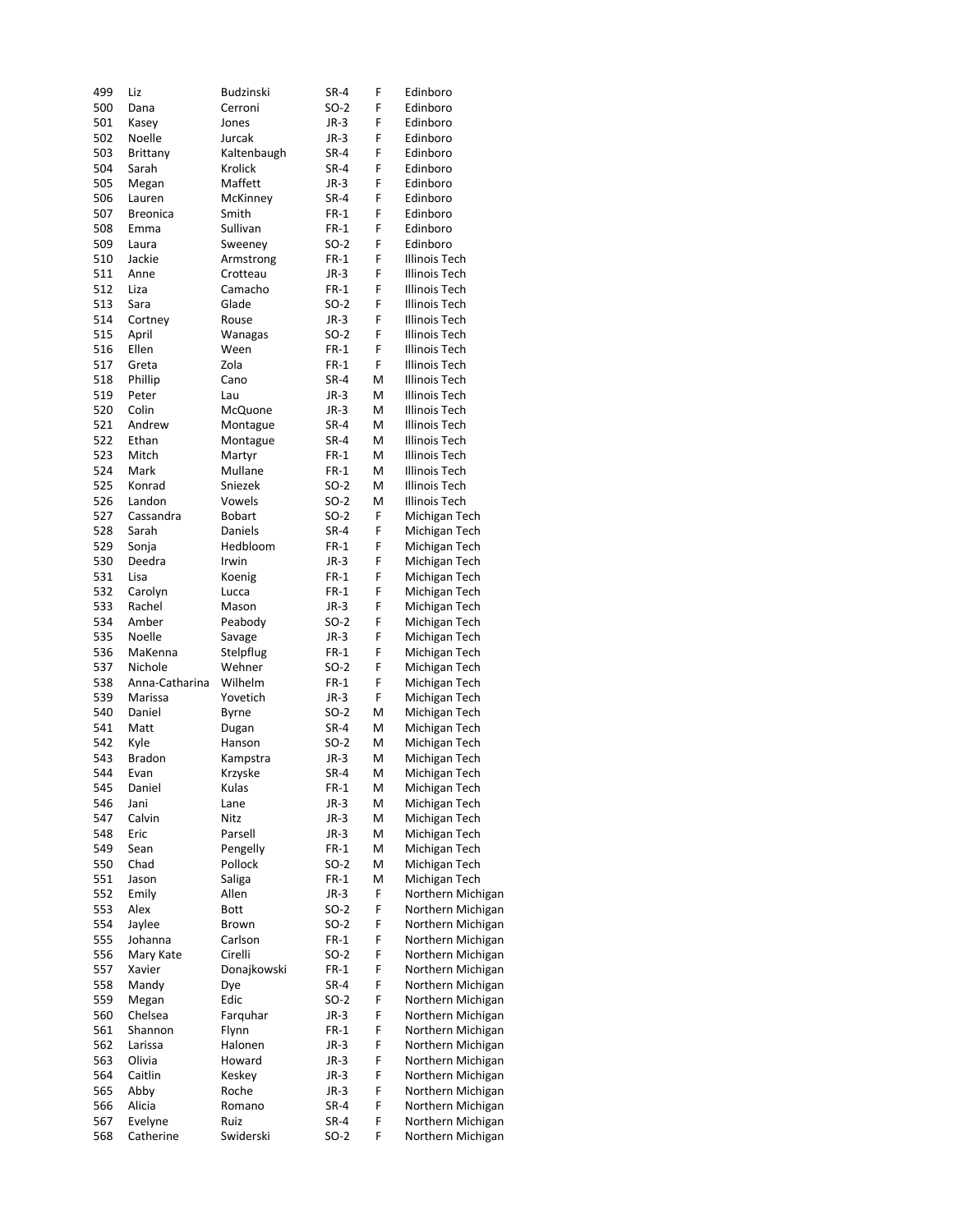| 499        | Liz                       | <b>Budzinski</b>    | SR-4             | F      | Edinboro                       |
|------------|---------------------------|---------------------|------------------|--------|--------------------------------|
| 500        | Dana                      | Cerroni             | $SO-2$           | F      | Edinboro                       |
| 501        | Kasey                     | Jones               | $JR-3$           | F      | Edinboro                       |
| 502        | Noelle                    | Jurcak              | $JR-3$           | F      | Edinboro                       |
| 503        | Brittany                  | Kaltenbaugh         | SR-4             | F      | Edinboro                       |
| 504        | Sarah                     | Krolick             | $SR-4$           | F      | Edinboro                       |
| 505<br>506 | Megan                     | Maffett             | $JR-3$<br>SR-4   | F<br>F | Edinboro<br>Edinboro           |
| 507        | Lauren<br><b>Breonica</b> | McKinney<br>Smith   | $FR-1$           | F      | Edinboro                       |
| 508        | Emma                      | Sullivan            | $FR-1$           | F      | Edinboro                       |
| 509        | Laura                     | Sweeney             | $SO-2$           | F      | Edinboro                       |
| 510        | Jackie                    | Armstrong           | $FR-1$           | F      | <b>Illinois Tech</b>           |
| 511        | Anne                      | Crotteau            | JR-3             | F      | Illinois Tech                  |
| 512        | Liza                      | Camacho             | $FR-1$           | F      | Illinois Tech                  |
| 513        | Sara                      | Glade               | $SO-2$           | F      | Illinois Tech                  |
| 514        | Cortney                   | Rouse               | $JR-3$           | F      | Illinois Tech                  |
| 515        | April                     | Wanagas             | $SO-2$           | F      | Illinois Tech                  |
| 516        | Ellen                     | Ween                | $FR-1$           | F      | Illinois Tech                  |
| 517        | Greta                     | Zola                | $FR-1$           | F      | Illinois Tech                  |
| 518        | Phillip                   | Cano                | SR-4             | M      | Illinois Tech                  |
| 519        | Peter                     | Lau                 | $JR-3$           | M      | Illinois Tech                  |
| 520        | Colin                     | McQuone             | $JR-3$           | M      | Illinois Tech                  |
| 521        | Andrew                    | Montague            | SR-4             | M      | Illinois Tech                  |
| 522        | Ethan                     | Montague            | $SR-4$           | M      | Illinois Tech                  |
| 523        | Mitch                     | Martyr              | FR-1             | M      | Illinois Tech                  |
| 524        | Mark                      | Mullane             | $FR-1$           | M      | Illinois Tech                  |
| 525        | Konrad                    | Sniezek             | $SO-2$           | M      | Illinois Tech                  |
| 526        | Landon                    | Vowels              | $SO-2$           | M      | <b>Illinois Tech</b>           |
| 527        | Cassandra                 | <b>Bobart</b>       | $SO-2$           | F      | Michigan Tech                  |
| 528<br>529 | Sarah<br>Sonja            | Daniels<br>Hedbloom | SR-4<br>$FR-1$   | F<br>F | Michigan Tech<br>Michigan Tech |
| 530        | Deedra                    | Irwin               | $JR-3$           | F      | Michigan Tech                  |
| 531        | Lisa                      | Koenig              | $FR-1$           | F      | Michigan Tech                  |
| 532        | Carolyn                   | Lucca               | $FR-1$           | F      | Michigan Tech                  |
| 533        | Rachel                    | Mason               | $JR-3$           | F      | Michigan Tech                  |
| 534        | Amber                     | Peabody             | $SO-2$           | F      | Michigan Tech                  |
| 535        | Noelle                    | Savage              | $JR-3$           | F      | Michigan Tech                  |
| 536        | MaKenna                   | Stelpflug           | $FR-1$           | F      | Michigan Tech                  |
| 537        | Nichole                   | Wehner              | $SO-2$           | F      | Michigan Tech                  |
| 538        | Anna-Catharina            | Wilhelm             | $FR-1$           | F      | Michigan Tech                  |
| 539        | Marissa                   | Yovetich            | $JR-3$           | F      | Michigan Tech                  |
| 540        | Daniel                    | Byrne               | $SO-2$           | M      | Michigan Tech                  |
| 541        | Matt                      | Dugan               | SR-4             | M      | Michigan Tech                  |
| 542        | Kyle                      | Hanson              | $SO-2$           | M      | Michigan Tech                  |
| 543        | <b>Bradon</b>             | Kampstra            | $JR-3$           | M      | Michigan Tech                  |
| 544        | Evan                      | Krzyske             | SR-4             | M      | Michigan Tech                  |
| 545        | Daniel                    | Kulas               | $FR-1$           | M      | Michigan Tech                  |
| 546        | Jani                      | Lane                | $JR-3$           | M      | Michigan Tech                  |
| 547        | Calvin                    | Nitz                | $JR-3$           | M      | Michigan Tech                  |
| 548<br>549 | Eric<br>Sean              | Parsell<br>Pengelly | $JR-3$<br>$FR-1$ | M<br>M | Michigan Tech<br>Michigan Tech |
| 550        | Chad                      | Pollock             | $SO-2$           | M      | Michigan Tech                  |
| 551        | Jason                     | Saliga              | $FR-1$           | M      | Michigan Tech                  |
| 552        | Emily                     | Allen               | $JR-3$           | F      | Northern Michigan              |
| 553        | Alex                      | <b>Bott</b>         | $SO-2$           | F      | Northern Michigan              |
| 554        | Jaylee                    | Brown               | $SO-2$           | F      | Northern Michigan              |
| 555        | Johanna                   | Carlson             | $FR-1$           | F      | Northern Michigan              |
| 556        | Mary Kate                 | Cirelli             | $SO-2$           | F      | Northern Michigan              |
| 557        | Xavier                    | Donajkowski         | $FR-1$           | F      | Northern Michigan              |
| 558        | Mandy                     | Dye                 | SR-4             | F      | Northern Michigan              |
| 559        | Megan                     | Edic                | $SO-2$           | F      | Northern Michigan              |
| 560        | Chelsea                   | Farquhar            | $JR-3$           | F      | Northern Michigan              |
| 561        | Shannon                   | Flynn               | FR-1             | F      | Northern Michigan              |
| 562        | Larissa                   | Halonen             | $JR-3$           | F      | Northern Michigan              |
| 563        | Olivia                    | Howard              | $JR-3$           | F      | Northern Michigan              |
| 564        | Caitlin                   | Keskey              | $JR-3$           | F      | Northern Michigan              |
| 565        | Abby                      | Roche               | $JR-3$           | F      | Northern Michigan              |
| 566        | Alicia                    | Romano              | SR-4             | F      | Northern Michigan              |
| 567        | Evelyne                   | Ruiz                | SR-4             | F      | Northern Michigan              |
| 568        | Catherine                 | Swiderski           | $SO-2$           | F      | Northern Michigan              |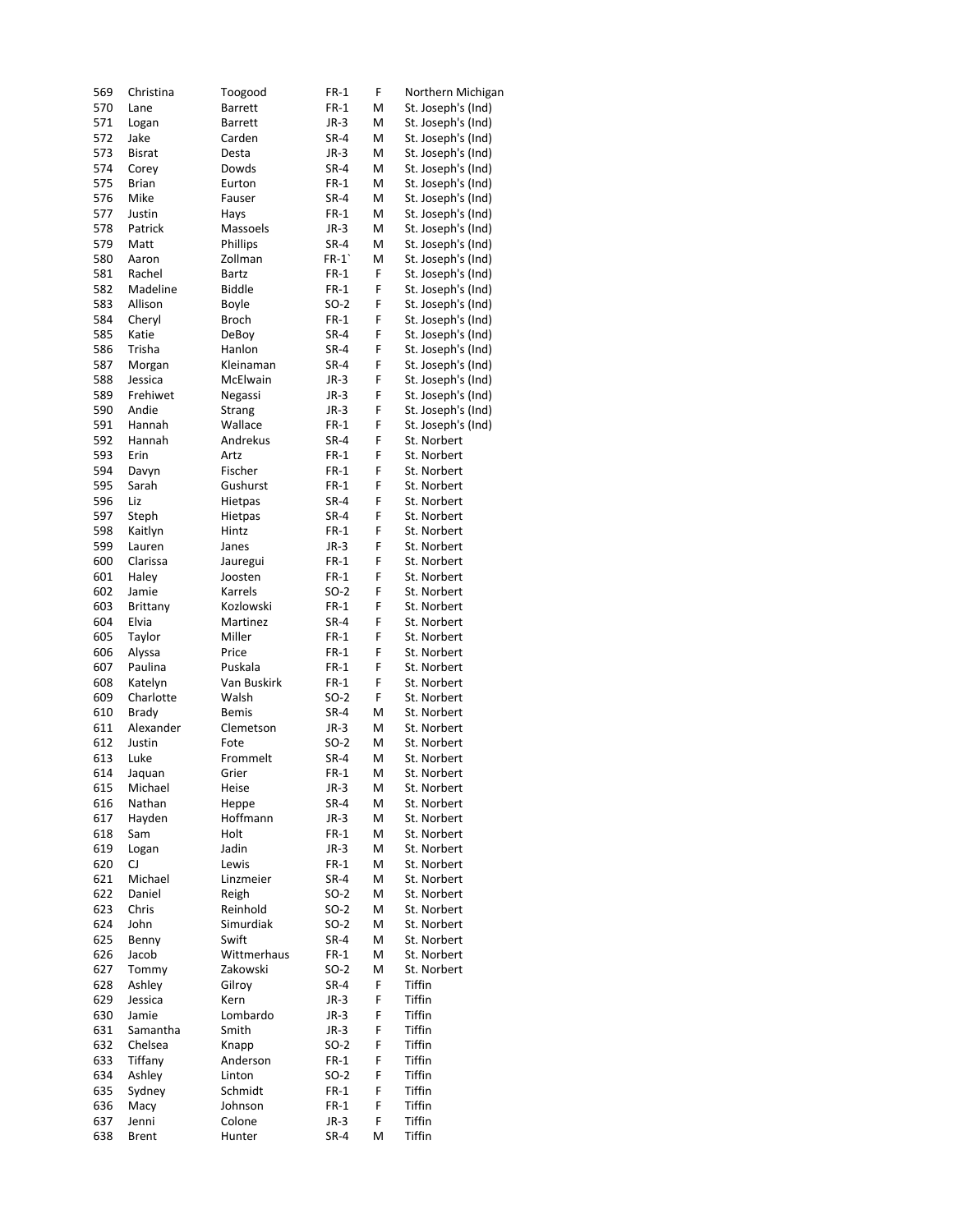| 569 | Christina     | Toogood        | $FR-1$ | F | Northern Michigan  |
|-----|---------------|----------------|--------|---|--------------------|
| 570 | Lane          | <b>Barrett</b> | $FR-1$ | M | St. Joseph's (Ind) |
| 571 | Logan         | Barrett        | $JR-3$ | M | St. Joseph's (Ind) |
| 572 | Jake          | Carden         | SR-4   | M | St. Joseph's (Ind) |
| 573 | <b>Bisrat</b> | Desta          | $JR-3$ | M | St. Joseph's (Ind) |
| 574 | Corey         | Dowds          | SR-4   | M | St. Joseph's (Ind) |
| 575 | Brian         | Eurton         | $FR-1$ | M | St. Joseph's (Ind) |
| 576 | Mike          | Fauser         | SR-4   | M | St. Joseph's (Ind) |
| 577 | Justin        |                | $FR-1$ | M | St. Joseph's (Ind) |
|     |               | Hays           |        |   |                    |
| 578 | Patrick       | Massoels       | $JR-3$ | M | St. Joseph's (Ind) |
| 579 | Matt          | Phillips       | SR-4   | M | St. Joseph's (Ind) |
| 580 | Aaron         | Zollman        | $FR-1$ | M | St. Joseph's (Ind) |
| 581 | Rachel        | Bartz          | $FR-1$ | F | St. Joseph's (Ind) |
| 582 | Madeline      | Biddle         | $FR-1$ | F | St. Joseph's (Ind) |
| 583 | Allison       | Boyle          | $SO-2$ | F | St. Joseph's (Ind) |
| 584 | Cheryl        | Broch          | $FR-1$ | F | St. Joseph's (Ind) |
| 585 | Katie         | DeBoy          | SR-4   | F | St. Joseph's (Ind) |
| 586 | Trisha        | Hanlon         | SR-4   | F | St. Joseph's (Ind) |
| 587 | Morgan        | Kleinaman      | SR-4   | F | St. Joseph's (Ind) |
| 588 | Jessica       | McElwain       | $JR-3$ | F | St. Joseph's (Ind) |
| 589 | Frehiwet      | Negassi        | $JR-3$ | F | St. Joseph's (Ind) |
| 590 | Andie         | Strang         | $JR-3$ | F | St. Joseph's (Ind) |
| 591 | Hannah        |                |        | F |                    |
|     |               | Wallace        | $FR-1$ |   | St. Joseph's (Ind) |
| 592 | Hannah        | Andrekus       | $SR-4$ | F | St. Norbert        |
| 593 | Erin          | Artz           | $FR-1$ | F | St. Norbert        |
| 594 | Davyn         | Fischer        | $FR-1$ | F | St. Norbert        |
| 595 | Sarah         | Gushurst       | $FR-1$ | F | St. Norbert        |
| 596 | Liz           | <b>Hietpas</b> | SR-4   | F | St. Norbert        |
| 597 | Steph         | <b>Hietpas</b> | SR-4   | F | St. Norbert        |
| 598 | Kaitlyn       | Hintz          | $FR-1$ | F | St. Norbert        |
| 599 | Lauren        | Janes          | $JR-3$ | F | St. Norbert        |
| 600 | Clarissa      | Jauregui       | $FR-1$ | F | St. Norbert        |
| 601 | Haley         | Joosten        | $FR-1$ | F | St. Norbert        |
| 602 | Jamie         | Karrels        | $SO-2$ | F | St. Norbert        |
| 603 | Brittany      | Kozlowski      | $FR-1$ | F | St. Norbert        |
|     |               |                |        | F |                    |
| 604 | Elvia         | Martinez       | SR-4   |   | St. Norbert        |
| 605 | Taylor        | Miller         | $FR-1$ | F | St. Norbert        |
| 606 | Alyssa        | Price          | $FR-1$ | F | St. Norbert        |
| 607 | Paulina       | Puskala        | $FR-1$ | F | St. Norbert        |
| 608 | Katelyn       | Van Buskirk    | $FR-1$ | F | St. Norbert        |
| 609 | Charlotte     | Walsh          | $SO-2$ | F | St. Norbert        |
| 610 | Brady         | <b>Bemis</b>   | SR-4   | M | St. Norbert        |
| 611 | Alexander     | Clemetson      | $JR-3$ | М | St. Norbert        |
| 612 | Justin        | Fote           | $SO-2$ | M | St. Norbert        |
| 613 | Luke          | Frommelt       | SR-4   | M | St. Norbert        |
| 614 | Jaquan        | Grier          | $FR-1$ | M | St. Norbert        |
| 615 | Michael       | Heise          | $JR-3$ | М | St. Norbert        |
| 616 | Nathan        | Heppe          | SR-4   | M | St. Norbert        |
| 617 | Hayden        | Hoffmann       | $JR-3$ | М | St. Norbert        |
|     | Sam           | Holt           |        | M | St. Norbert        |
| 618 |               |                | $FR-1$ |   |                    |
| 619 | Logan         | Jadin          | $JR-3$ | M | St. Norbert        |
| 620 | CJ            | Lewis          | $FR-1$ | M | St. Norbert        |
| 621 | Michael       | Linzmeier      | $SR-4$ | M | St. Norbert        |
| 622 | Daniel        | Reigh          | $SO-2$ | М | St. Norbert        |
| 623 | Chris         | Reinhold       | $SO-2$ | M | St. Norbert        |
| 624 | John          | Simurdiak      | $SO-2$ | M | St. Norbert        |
| 625 | Benny         | Swift          | $SR-4$ | М | St. Norbert        |
| 626 | Jacob         | Wittmerhaus    | $FR-1$ | M | St. Norbert        |
| 627 | Tommy         | Zakowski       | $SO-2$ | M | St. Norbert        |
| 628 | Ashley        | Gilroy         | SR-4   | F | Tiffin             |
| 629 | Jessica       | Kern           | $JR-3$ | F | Tiffin             |
| 630 | Jamie         | Lombardo       | $JR-3$ | F | Tiffin             |
|     |               |                |        |   |                    |
| 631 | Samantha      | Smith          | $JR-3$ | F | Tiffin             |
| 632 | Chelsea       | Knapp          | $SO-2$ | F | Tiffin             |
| 633 | Tiffany       | Anderson       | $FR-1$ | F | Tiffin             |
| 634 | Ashley        | Linton         | $SO-2$ | F | Tiffin             |
| 635 | Sydney        | Schmidt        | $FR-1$ | F | Tiffin             |
| 636 | Macy          | Johnson        | $FR-1$ | F | Tiffin             |
| 637 | Jenni         | Colone         | $JR-3$ | F | Tiffin             |
| 638 | Brent         | Hunter         | SR-4   | M | Tiffin             |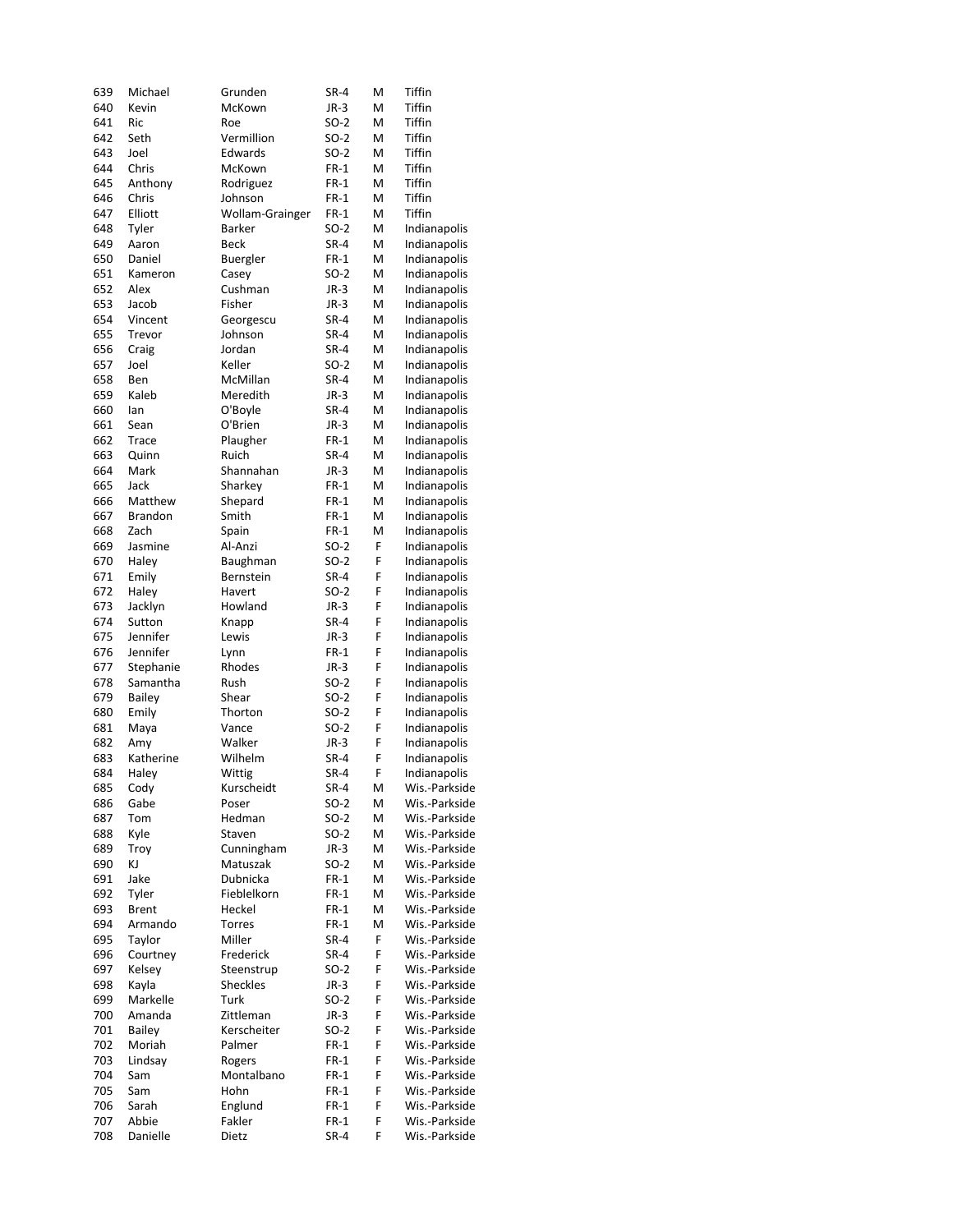| 639        | Michael        | Grunden         | $SR-4$         | M      | Tiffin                         |
|------------|----------------|-----------------|----------------|--------|--------------------------------|
| 640        | Kevin          | McKown          | $JR-3$         | M      | Tiffin                         |
| 641        | Ric            | Roe             | $SO-2$         | M      | Tiffin                         |
| 642        | Seth           | Vermillion      | $SO-2$         | M      | Tiffin                         |
| 643        | Joel           | Edwards         | $SO-2$         | M      | Tiffin                         |
| 644        | Chris          | McKown          | $FR-1$         | M      | Tiffin                         |
| 645        | Anthony        | Rodriguez       | $FR-1$         | M      | Tiffin                         |
| 646        | Chris          | Johnson         | $FR-1$         | M      | Tiffin                         |
| 647        | Elliott        | Wollam-Grainger | $FR-1$         | M      | Tiffin                         |
| 648        | Tyler          | Barker          | SO-2           | M      | Indianapolis                   |
| 649        | Aaron          | <b>Beck</b>     | SR-4           | M      | Indianapolis                   |
| 650        | Daniel         | Buergler        | $FR-1$         | M      | Indianapolis                   |
| 651        | Kameron        | Casey           | SO-2           | M      | Indianapolis                   |
| 652        | Alex           | Cushman         | $JR-3$         | M      | Indianapolis                   |
| 653        | Jacob          | Fisher          | $JR-3$         | M      | Indianapolis                   |
| 654        | Vincent        | Georgescu       | $SR-4$         | M      | Indianapolis                   |
| 655        | Trevor         | Johnson         | $SR-4$         | M      | Indianapolis                   |
| 656        | Craig          | Jordan          | $SR-4$         | M      | Indianapolis                   |
| 657        | Joel           | Keller          | SO-2           | M      | Indianapolis                   |
| 658        | Ben            | McMillan        | $SR-4$         | M      | Indianapolis                   |
| 659        | Kaleb          | Meredith        | $JR-3$         | M      | Indianapolis                   |
| 660        | lan            | O'Boyle         | $SR-4$         | M      | Indianapolis                   |
| 661        | Sean           | O'Brien         | $JR-3$         | M      | Indianapolis                   |
| 662        | Trace          | Plaugher        | $FR-1$         | M      | Indianapolis                   |
| 663        | Quinn          | Ruich           | $SR-4$         | M      | Indianapolis                   |
| 664        | Mark           | Shannahan       | $JR-3$         | M      | Indianapolis                   |
| 665        | Jack           | Sharkev         | $FR-1$         | M      | Indianapolis                   |
| 666        | Matthew        | Shepard         | $FR-1$         | M      | Indianapolis                   |
| 667        | <b>Brandon</b> | Smith           | $FR-1$         | M      | Indianapolis                   |
| 668        | Zach           | Spain           | $FR-1$         | M      | Indianapolis                   |
| 669        | Jasmine        | Al-Anzi         | SO-2           | F      | Indianapolis                   |
| 670        | Haley          | Baughman        | $SO-2$         | F      | Indianapolis                   |
| 671        | Emily          | Bernstein       | SR-4           | F      | Indianapolis                   |
| 672        | Haley          | Havert          | $SO-2$         | F      | Indianapolis                   |
| 673        | Jacklyn        | Howland         | $JR-3$         | F      | Indianapolis                   |
| 674        | Sutton         | Knapp           | $SR-4$         | F      | Indianapolis                   |
| 675        | Jennifer       | Lewis           | $JR-3$         | F      | Indianapolis                   |
| 676        | Jennifer       | Lynn            | $FR-1$         | F      | Indianapolis                   |
| 677        | Stephanie      | Rhodes          | $JR-3$         | F      | Indianapolis                   |
| 678        | Samantha       | Rush            | $SO-2$         | F      | Indianapolis                   |
| 679        | <b>Bailey</b>  | Shear           | $SO-2$         | F      | Indianapolis                   |
| 680        | Emily          | Thorton         | $SO-2$         | F      | Indianapolis                   |
| 681        | Maya           | Vance           | $SO-2$         | F<br>F | Indianapolis                   |
| 682        | Amy            | Walker          | $JR-3$         | F      | Indianapolis                   |
| 683<br>684 | Katherine      | Wilhelm         | $SR-4$         | F      | Indianapolis                   |
|            | Haley          | Wittig          | $SR-4$         |        | Indianapolis                   |
| 685<br>686 | Cody<br>Gabe   | Kurscheidt      | SR-4<br>$SO-2$ | Μ<br>M | Wis.-Parkside<br>Wis.-Parkside |
| 687        | Tom            | Poser<br>Hedman | $SO-2$         | M      | Wis.-Parkside                  |
| 688        | Kyle           | Staven          | $SO-2$         | M      | Wis.-Parkside                  |
| 689        | Troy           | Cunningham      | $JR-3$         | M      | Wis.-Parkside                  |
| 690        | KJ             | Matuszak        | $SO-2$         | M      | Wis.-Parkside                  |
| 691        | Jake           | Dubnicka        | $FR-1$         | M      | Wis.-Parkside                  |
| 692        | Tyler          | Fieblelkorn     | $FR-1$         | M      | Wis.-Parkside                  |
| 693        | <b>Brent</b>   | Heckel          | $FR-1$         | M      | Wis.-Parkside                  |
| 694        | Armando        | Torres          | $FR-1$         | M      | Wis.-Parkside                  |
| 695        | Taylor         | Miller          | SR-4           | F      | Wis.-Parkside                  |
| 696        | Courtney       | Frederick       | SR-4           | F      | Wis.-Parkside                  |
| 697        | Kelsey         | Steenstrup      | $SO-2$         | F      | Wis.-Parkside                  |
| 698        | Kayla          | <b>Sheckles</b> | $JR-3$         | F      | Wis.-Parkside                  |
| 699        | Markelle       | Turk            | $SO-2$         | F      | Wis.-Parkside                  |
| 700        | Amanda         | Zittleman       | $JR-3$         | F      | Wis.-Parkside                  |
| 701        | <b>Bailey</b>  | Kerscheiter     | SO-2           | F      | Wis.-Parkside                  |
| 702        | Moriah         | Palmer          | $FR-1$         | F      | Wis.-Parkside                  |
| 703        | Lindsay        | Rogers          | $FR-1$         | F      | Wis.-Parkside                  |
| 704        | Sam            | Montalbano      | $FR-1$         | F      | Wis.-Parkside                  |
| 705        | Sam            | Hohn            | $FR-1$         | F      | Wis.-Parkside                  |
| 706        | Sarah          | Englund         | $FR-1$         | F      | Wis.-Parkside                  |
| 707        | Abbie          | Fakler          | $FR-1$         | F      | Wis.-Parkside                  |
| 708        | Danielle       | Dietz           | SR-4           | F      | Wis.-Parkside                  |
|            |                |                 |                |        |                                |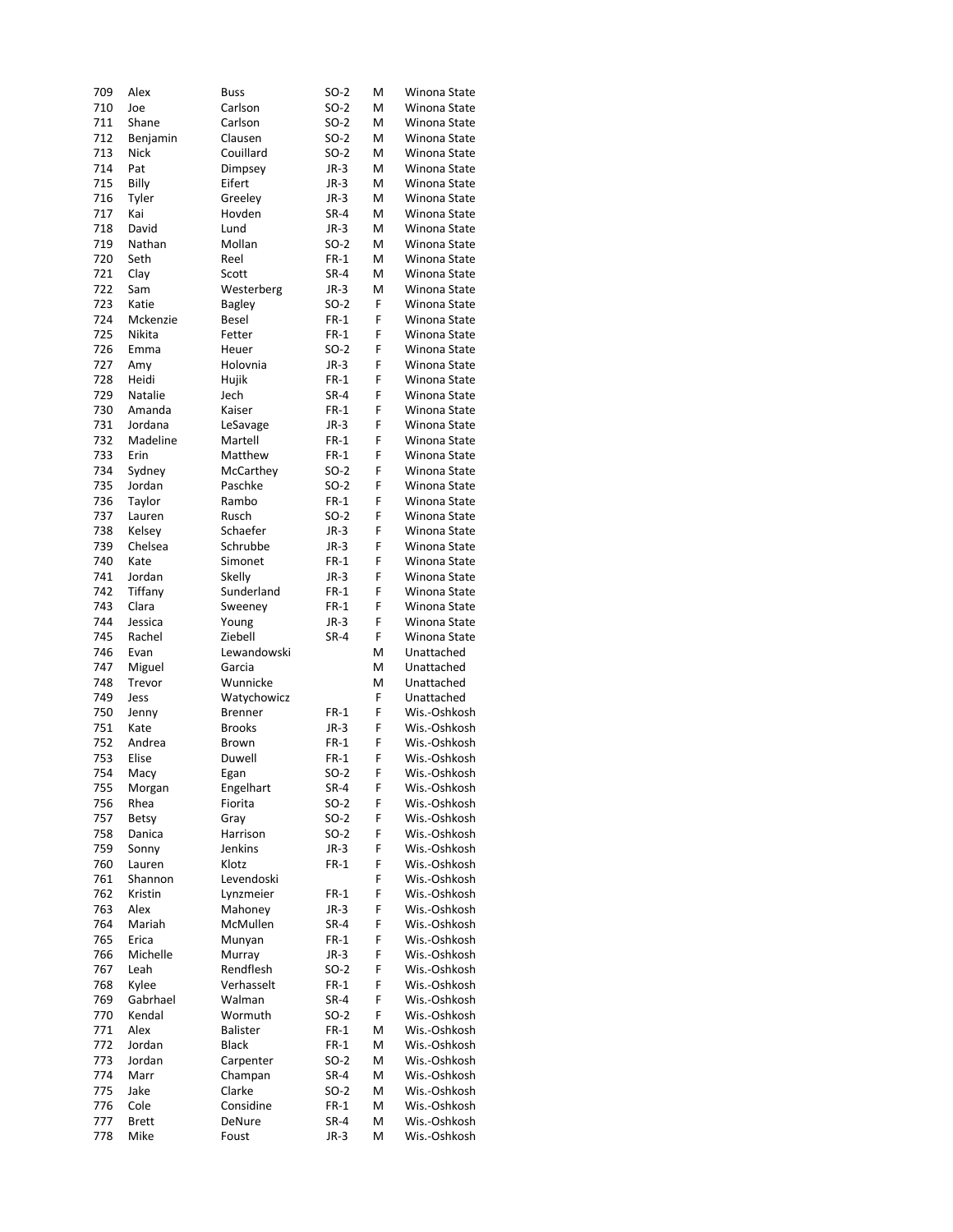| 709 | Alex                 | <b>Buss</b>     | $SO-2$ | M | Winona State |
|-----|----------------------|-----------------|--------|---|--------------|
| 710 | Joe                  | Carlson         | $SO-2$ | M | Winona State |
| 711 | Shane                | Carlson         | $SO-2$ | M | Winona State |
| 712 | Benjamin             | Clausen         | $SO-2$ | M | Winona State |
| 713 | Nick                 | Couillard       | $SO-2$ | M | Winona State |
| 714 | Pat                  |                 | JR-3   | M | Winona State |
|     |                      | Dimpsey         |        |   |              |
| 715 | Billy                | Eifert          | $JR-3$ | M | Winona State |
| 716 | Tyler                | Greeley         | $JR-3$ | M | Winona State |
| 717 | Kai                  | Hovden          | SR-4   | M | Winona State |
| 718 | David                | Lund            | JR-3   | M | Winona State |
| 719 | Nathan               | Mollan          | $SO-2$ | М | Winona State |
| 720 | Seth                 | Reel            | $FR-1$ | M | Winona State |
| 721 | Clay                 | Scott           | SR-4   | M | Winona State |
| 722 | Sam                  | Westerberg      | $JR-3$ | M | Winona State |
| 723 | Katie                | Bagley          | $SO-2$ | F | Winona State |
| 724 | Mckenzie             | Besel           | $FR-1$ | F | Winona State |
|     |                      |                 |        |   |              |
| 725 | Nikita               | Fetter          | $FR-1$ | F | Winona State |
| 726 | Emma                 | Heuer           | $SO-2$ | F | Winona State |
| 727 | Amy                  | Holovnia        | JR-3   | F | Winona State |
| 728 | Heidi                | Hujik           | $FR-1$ | F | Winona State |
| 729 | Natalie              | Jech            | $SR-4$ | F | Winona State |
| 730 | Amanda               | Kaiser          | FR-1   | F | Winona State |
| 731 | Jordana              | LeSavage        | JR-3   | F | Winona State |
| 732 | Madeline             | Martell         | $FR-1$ | F | Winona State |
| 733 | Erin                 | Matthew         | $FR-1$ | F | Winona State |
|     |                      |                 |        |   |              |
| 734 | Sydney               | McCarthey       | $SO-2$ | F | Winona State |
| 735 | Jordan               | Paschke         | $SO-2$ | F | Winona State |
| 736 | Taylor               | Rambo           | $FR-1$ | F | Winona State |
| 737 | Lauren               | Rusch           | $SO-2$ | F | Winona State |
| 738 | Kelsey               | Schaefer        | JR-3   | F | Winona State |
| 739 | Chelsea              | Schrubbe        | JR-3   | F | Winona State |
| 740 | Kate                 | Simonet         | $FR-1$ | F | Winona State |
| 741 | Jordan               | Skelly          | JR-3   | F | Winona State |
| 742 |                      | Sunderland      | $FR-1$ | F | Winona State |
|     | Tiffany              |                 |        |   |              |
| 743 | Clara                | Sweeney         | FR-1   | F | Winona State |
| 744 | Jessica              | Young           | JR-3   | F | Winona State |
| 745 | Rachel               | Ziebell         | SR-4   | F | Winona State |
| 746 |                      | Lewandowski     |        | M |              |
|     | Evan                 |                 |        |   | Unattached   |
| 747 | Miguel               | Garcia          |        | M | Unattached   |
| 748 | Trevor               | Wunnicke        |        | M | Unattached   |
|     |                      |                 |        |   |              |
| 749 | Jess                 | Watychowicz     |        | F | Unattached   |
| 750 | Jenny                | Brenner         | $FR-1$ | F | Wis.-Oshkosh |
| 751 | Kate                 | <b>Brooks</b>   | JR-3   | F | Wis.-Oshkosh |
| 752 | Andrea               | Brown           | $FR-1$ | F | Wis.-Oshkosh |
| 753 | Elise                | Duwell          | FR-1   | F | Wis.-Oshkosh |
| 754 | Macy                 | Egan            | $SO-2$ | F | Wis.-Oshkosh |
| 755 | Morgan               | Engelhart       | SR-4   | F | Wis.-Oshkosh |
| 756 | Rhea                 | Fiorita         | $SO-2$ | F | Wis.-Oshkosh |
| 757 | Betsy                | Gray            | $SO-2$ | F | Wis.-Oshkosh |
|     | Danica               |                 | $SO-2$ | F | Wis.-Oshkosh |
| 758 |                      | Harrison        |        | F |              |
| 759 | Sonny                | Jenkins         | $JR-3$ |   | Wis.-Oshkosh |
| 760 | Lauren               | Klotz           | $FR-1$ | F | Wis.-Oshkosh |
| 761 | Shannon              | Levendoski      |        | F | Wis.-Oshkosh |
| 762 | Kristin              | Lynzmeier       | FR-1   | F | Wis.-Oshkosh |
| 763 | Alex                 | Mahoney         | JR-3   | F | Wis.-Oshkosh |
| 764 | Mariah               | McMullen        | SR-4   | F | Wis.-Oshkosh |
| 765 | Erica                | Munyan          | $FR-1$ | F | Wis.-Oshkosh |
| 766 | Michelle             | Murray          | JR-3   | F | Wis.-Oshkosh |
| 767 | Leah                 | Rendflesh       | $SO-2$ | F | Wis.-Oshkosh |
| 768 | Kylee                | Verhasselt      | $FR-1$ | F | Wis.-Oshkosh |
|     |                      |                 |        |   |              |
| 769 | Gabrhael             | Walman          | SR-4   | F | Wis.-Oshkosh |
| 770 | Kendal               | Wormuth         | $SO-2$ | F | Wis.-Oshkosh |
| 771 | Alex                 | <b>Balister</b> | $FR-1$ | M | Wis.-Oshkosh |
| 772 | Jordan               | <b>Black</b>    | $FR-1$ | M | Wis.-Oshkosh |
| 773 | Jordan               | Carpenter       | $SO-2$ | M | Wis.-Oshkosh |
| 774 | Marr                 | Champan         | SR-4   | M | Wis.-Oshkosh |
| 775 | Jake                 | Clarke          | $SO-2$ | M | Wis.-Oshkosh |
| 776 | Cole                 | Considine       | $FR-1$ | M | Wis.-Oshkosh |
| 777 | <b>Brett</b><br>Mike | DeNure          | SR-4   | M | Wis.-Oshkosh |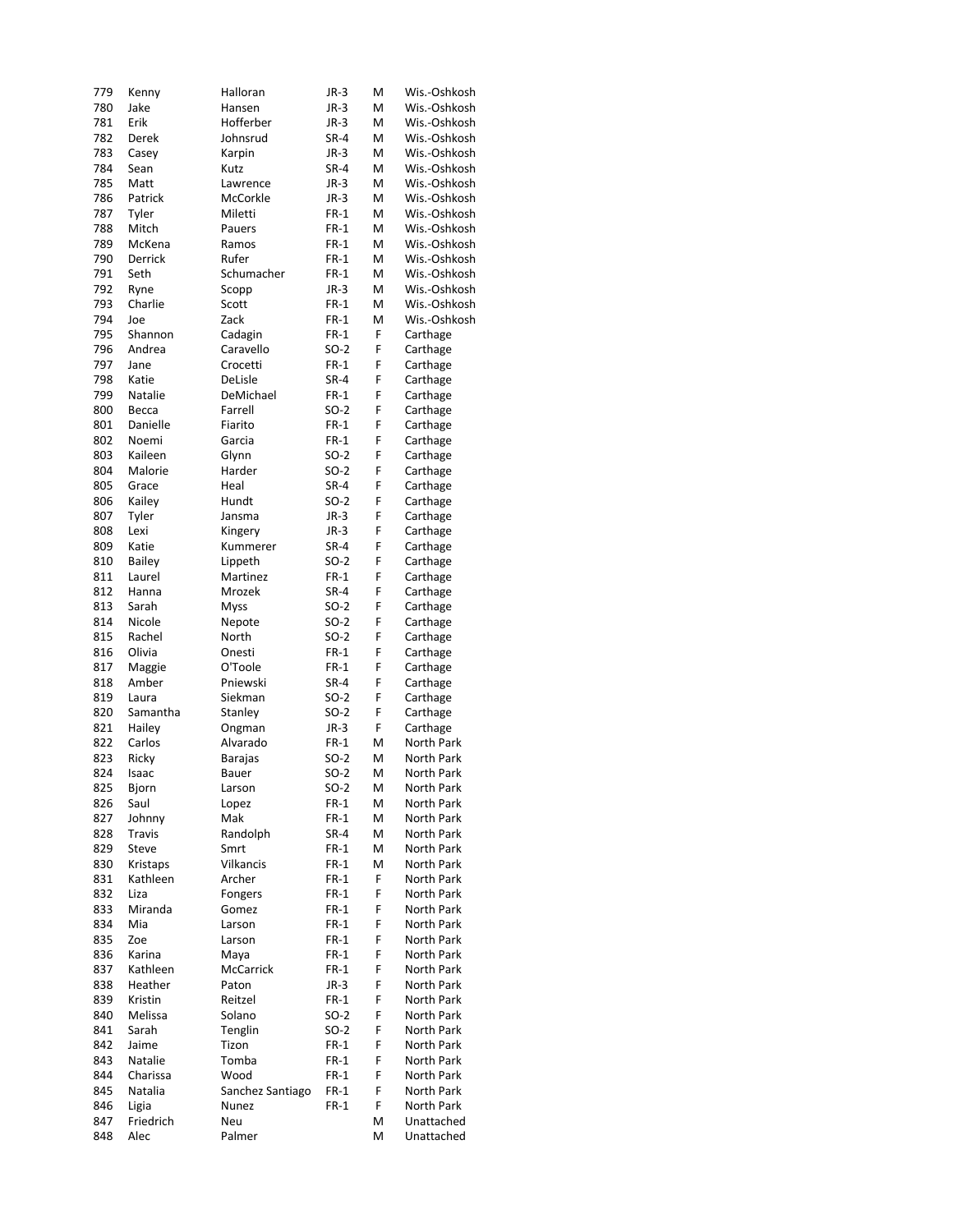| 779 | Kenny         | Halloran         | JR-3   | M | Wis.-Oshkosh      |
|-----|---------------|------------------|--------|---|-------------------|
| 780 | Jake          | Hansen           | JR-3   | M | Wis.-Oshkosh      |
| 781 | Erik          | Hofferber        | JR-3   | M | Wis.-Oshkosh      |
| 782 | Derek         | Johnsrud         | SR-4   | M | Wis.-Oshkosh      |
| 783 | Casey         | Karpin           | JR-3   | M | Wis.-Oshkosh      |
|     |               |                  |        |   |                   |
| 784 | Sean          | Kutz             | SR-4   | M | Wis.-Oshkosh      |
| 785 | Matt          | Lawrence         | JR-3   | M | Wis.-Oshkosh      |
| 786 | Patrick       | McCorkle         | $JR-3$ | M | Wis.-Oshkosh      |
| 787 | Tyler         | Miletti          | $FR-1$ | M | Wis.-Oshkosh      |
| 788 | Mitch         | Pauers           | $FR-1$ | M | Wis.-Oshkosh      |
| 789 | McKena        |                  | $FR-1$ | M | Wis.-Oshkosh      |
|     |               | Ramos            |        |   |                   |
| 790 | Derrick       | Rufer            | $FR-1$ | M | Wis.-Oshkosh      |
| 791 | Seth          | Schumacher       | $FR-1$ | M | Wis.-Oshkosh      |
| 792 | Ryne          | Scopp            | $JR-3$ | M | Wis.-Oshkosh      |
| 793 | Charlie       | Scott            | $FR-1$ | M | Wis.-Oshkosh      |
| 794 | Joe           | Zack             | $FR-1$ | M | Wis.-Oshkosh      |
|     |               |                  |        |   |                   |
| 795 | Shannon       | Cadagin          | $FR-1$ | F | Carthage          |
| 796 | Andrea        | Caravello        | SO-2   | F | Carthage          |
| 797 | Jane          | Crocetti         | $FR-1$ | F | Carthage          |
| 798 | Katie         | DeLisle          | SR-4   | F | Carthage          |
| 799 | Natalie       | DeMichael        | $FR-1$ | F | Carthage          |
|     |               |                  | $SO-2$ | F |                   |
| 800 | Becca         | Farrell          |        |   | Carthage          |
| 801 | Danielle      | Fiarito          | $FR-1$ | F | Carthage          |
| 802 | Noemi         | Garcia           | $FR-1$ | F | Carthage          |
| 803 | Kaileen       | Glynn            | SO-2   | F | Carthage          |
| 804 | Malorie       | Harder           | $SO-2$ | F | Carthage          |
| 805 | Grace         | Heal             | $SR-4$ | F |                   |
|     |               |                  |        |   | Carthage          |
| 806 | Kailey        | Hundt            | SO-2   | F | Carthage          |
| 807 | Tyler         | Jansma           | $JR-3$ | F | Carthage          |
| 808 | Lexi          | Kingery          | JR-3   | F | Carthage          |
| 809 | Katie         | Kummerer         | SR-4   | F | Carthage          |
| 810 | <b>Bailey</b> | Lippeth          | SO-2   | F | Carthage          |
|     |               |                  |        |   |                   |
| 811 | Laurel        | Martinez         | $FR-1$ | F | Carthage          |
| 812 | Hanna         | Mrozek           | SR-4   | F | Carthage          |
| 813 | Sarah         | Myss             | SO-2   | F | Carthage          |
| 814 | Nicole        | Nepote           | SO-2   | F | Carthage          |
| 815 | Rachel        | North            | SO-2   | F | Carthage          |
| 816 | Olivia        | Onesti           | $FR-1$ | F | Carthage          |
|     |               | O'Toole          | $FR-1$ | F |                   |
| 817 | Maggie        |                  |        |   | Carthage          |
| 818 | Amber         | Pniewski         | SR-4   | F | Carthage          |
| 819 | Laura         | Siekman          | SO-2   | F | Carthage          |
| 820 | Samantha      | Stanley          | SO-2   | F | Carthage          |
| 821 | Hailey        | Ongman           | $JR-3$ | F | Carthage          |
| 822 | Carlos        | Alvarado         | $FR-1$ | M | North Park        |
|     |               |                  | $SO-2$ |   |                   |
| 823 | Ricky         | <b>Barajas</b>   |        | M | North Park        |
| 824 | Isaac         | Bauer            | $SO-2$ | M | <b>North Park</b> |
| 825 | Bjorn         | Larson           | SO-2   | Μ | North Park        |
| 826 | Saul          | Lopez            | $FR-1$ | М | North Park        |
| 827 | Johnny        | Mak              | $FR-1$ | M | North Park        |
| 828 | <b>Travis</b> | Randolph         | $SR-4$ | M | North Park        |
|     | <b>Steve</b>  |                  | $FR-1$ | M | North Park        |
| 829 |               | Smrt             |        |   |                   |
| 830 | Kristaps      | Vilkancis        | $FR-1$ | M | North Park        |
| 831 | Kathleen      | Archer           | $FR-1$ | F | North Park        |
| 832 | Liza          | Fongers          | $FR-1$ | F | North Park        |
| 833 | Miranda       | Gomez            | $FR-1$ | F | North Park        |
| 834 | Mia           | Larson           | $FR-1$ | F | North Park        |
|     |               |                  |        |   |                   |
| 835 | Zoe           | Larson           | $FR-1$ | F | North Park        |
| 836 | Karina        | Maya             | $FR-1$ | F | North Park        |
| 837 | Kathleen      | McCarrick        | $FR-1$ | F | North Park        |
| 838 | Heather       | Paton            | JR-3   | F | North Park        |
| 839 | Kristin       | Reitzel          | $FR-1$ | F | North Park        |
|     | Melissa       |                  | SO-2   | F | North Park        |
| 840 |               | Solano           |        |   |                   |
| 841 | Sarah         | Tenglin          | SO-2   | F | North Park        |
| 842 | Jaime         | Tizon            | $FR-1$ | F | North Park        |
| 843 | Natalie       | Tomba            | $FR-1$ | F | North Park        |
| 844 | Charissa      | Wood             | $FR-1$ | F | North Park        |
| 845 | Natalia       | Sanchez Santiago | $FR-1$ | F | North Park        |
|     |               |                  |        |   |                   |
| 846 | Ligia         | Nunez            | $FR-1$ | F | North Park        |
| 847 | Friedrich     | Neu              |        | M | Unattached        |
| 848 | Alec          | Palmer           |        | M | Unattached        |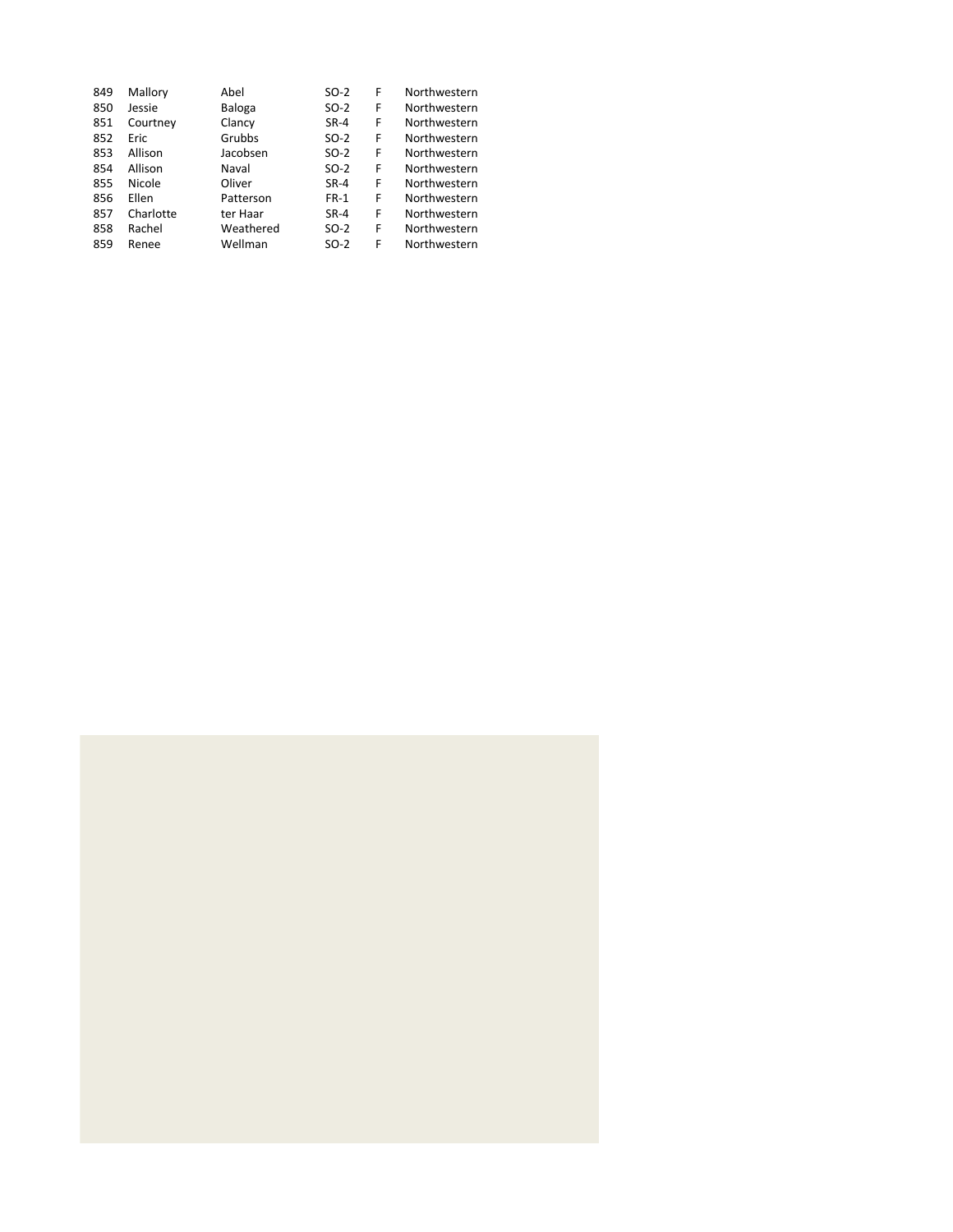| 849 | Mallory   | Abel      | $SO-2$ | F | Northwestern |
|-----|-----------|-----------|--------|---|--------------|
| 850 | Jessie    | Baloga    | $SO-2$ | F | Northwestern |
| 851 | Courtney  | Clancy    | $SR-4$ | F | Northwestern |
| 852 | Eric      | Grubbs    | $SO-2$ | F | Northwestern |
| 853 | Allison   | Jacobsen  | $SO-2$ | F | Northwestern |
| 854 | Allison   | Naval     | $SO-2$ | F | Northwestern |
| 855 | Nicole    | Oliver    | $SR-4$ | F | Northwestern |
| 856 | Ellen     | Patterson | $FR-1$ | F | Northwestern |
| 857 | Charlotte | ter Haar  | $SR-4$ | F | Northwestern |
| 858 | Rachel    | Weathered | $SO-2$ | F | Northwestern |
| 859 | Renee     | Wellman   | $SO-2$ | F | Northwestern |
|     |           |           |        |   |              |